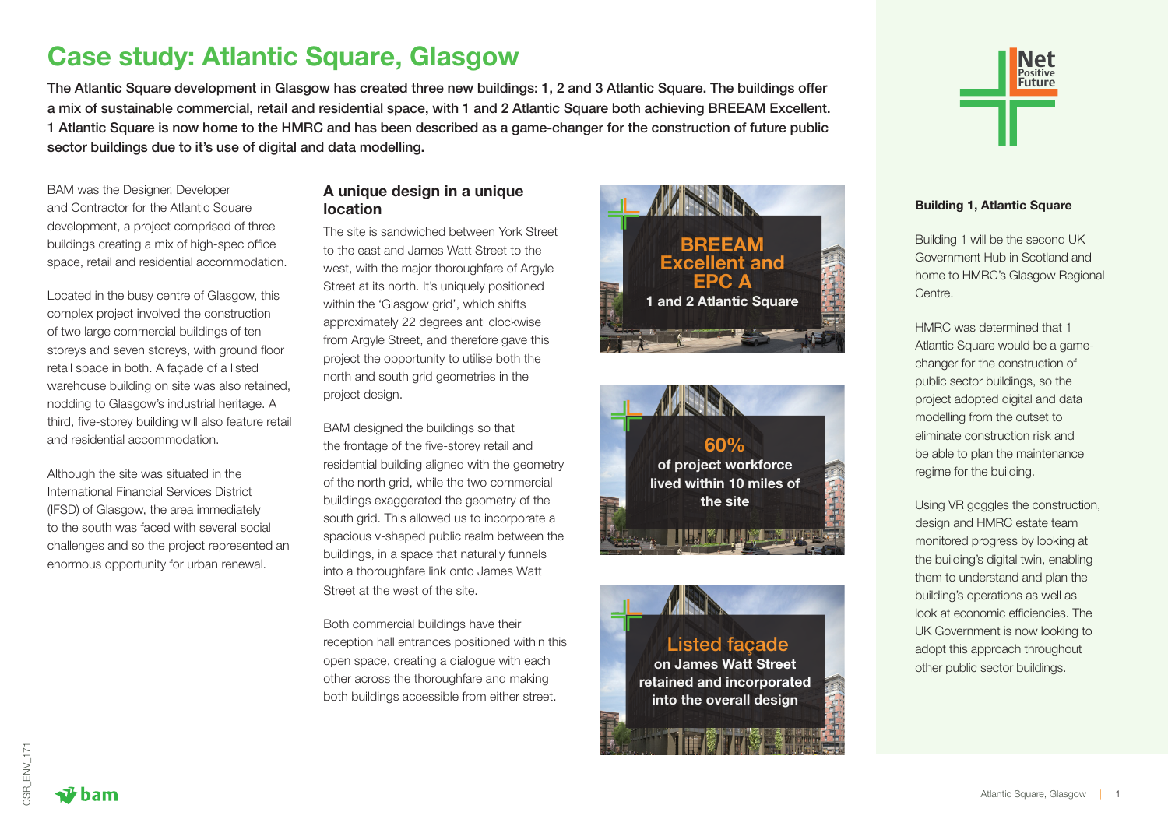# Case study: Atlantic Square, Glasgow

The Atlantic Square development in Glasgow has created three new buildings: 1, 2 and 3 Atlantic Square. The buildings offer a mix of sustainable commercial, retail and residential space, with 1 and 2 Atlantic Square both achieving BREEAM Excellent. 1 Atlantic Square is now home to the HMRC and has been described as a game-changer for the construction of future public sector buildings due to it's use of digital and data modelling.

BAM was the Designer, Developer and Contractor for the Atlantic Square development, a project comprised of three buildings creating a mix of high-spec office space, retail and residential accommodation.

Located in the busy centre of Glasgow, this complex project involved the construction of two large commercial buildings of ten storeys and seven storeys, with ground floor retail space in both. A façade of a listed warehouse building on site was also retained, nodding to Glasgow's industrial heritage. A third, five-storey building will also feature retail and residential accommodation.

Although the site was situated in the International Financial Services District (IFSD) of Glasgow, the area immediately to the south was faced with several social challenges and so the project represented an enormous opportunity for urban renewal.

#### A unique design in a unique location

The site is sandwiched between York Street to the east and James Watt Street to the west, with the major thoroughfare of Argyle Street at its north. It's uniquely positioned within the 'Glasgow grid', which shifts approximately 22 degrees anti clockwise from Argyle Street, and therefore gave this project the opportunity to utilise both the north and south grid geometries in the project design.

BAM designed the buildings so that the frontage of the five-storey retail and residential building aligned with the geometry of the north grid, while the two commercial buildings exaggerated the geometry of the south grid. This allowed us to incorporate a spacious v-shaped public realm between the buildings, in a space that naturally funnels into a thoroughfare link onto James Watt Street at the west of the site.

Both commercial buildings have their reception hall entrances positioned within this open space, creating a dialogue with each other across the thoroughfare and making both buildings accessible from either street.









#### Building 1, Atlantic Square

Building 1 will be the second UK Government Hub in Scotland and home to HMRC's Glasgow Regional Centre.

HMRC was determined that 1 Atlantic Square would be a gamechanger for the construction of public sector buildings, so the project adopted digital and data modelling from the outset to eliminate construction risk and be able to plan the maintenance regime for the building.

Using VR goggles the construction, design and HMRC estate team monitored progress by looking at the building's digital twin, enabling them to understand and plan the building's operations as well as look at economic efficiencies. The UK Government is now looking to adopt this approach throughout other public sector buildings.

**ham**